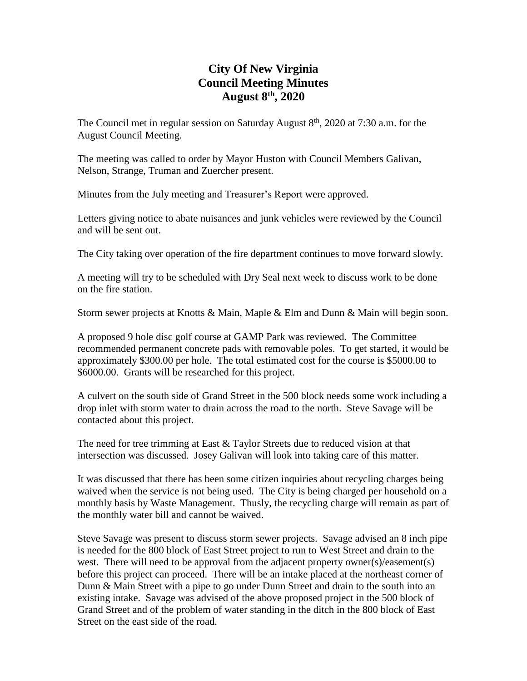# **City Of New Virginia Council Meeting Minutes August 8th , 2020**

The Council met in regular session on Saturday August  $8<sup>th</sup>$ , 2020 at 7:30 a.m. for the August Council Meeting.

The meeting was called to order by Mayor Huston with Council Members Galivan, Nelson, Strange, Truman and Zuercher present.

Minutes from the July meeting and Treasurer's Report were approved.

Letters giving notice to abate nuisances and junk vehicles were reviewed by the Council and will be sent out.

The City taking over operation of the fire department continues to move forward slowly.

A meeting will try to be scheduled with Dry Seal next week to discuss work to be done on the fire station.

Storm sewer projects at Knotts & Main, Maple & Elm and Dunn & Main will begin soon.

A proposed 9 hole disc golf course at GAMP Park was reviewed. The Committee recommended permanent concrete pads with removable poles. To get started, it would be approximately \$300.00 per hole. The total estimated cost for the course is \$5000.00 to \$6000.00. Grants will be researched for this project.

A culvert on the south side of Grand Street in the 500 block needs some work including a drop inlet with storm water to drain across the road to the north. Steve Savage will be contacted about this project.

The need for tree trimming at East & Taylor Streets due to reduced vision at that intersection was discussed. Josey Galivan will look into taking care of this matter.

It was discussed that there has been some citizen inquiries about recycling charges being waived when the service is not being used. The City is being charged per household on a monthly basis by Waste Management. Thusly, the recycling charge will remain as part of the monthly water bill and cannot be waived.

Steve Savage was present to discuss storm sewer projects. Savage advised an 8 inch pipe is needed for the 800 block of East Street project to run to West Street and drain to the west. There will need to be approval from the adjacent property owner(s)/easement(s) before this project can proceed. There will be an intake placed at the northeast corner of Dunn & Main Street with a pipe to go under Dunn Street and drain to the south into an existing intake. Savage was advised of the above proposed project in the 500 block of Grand Street and of the problem of water standing in the ditch in the 800 block of East Street on the east side of the road.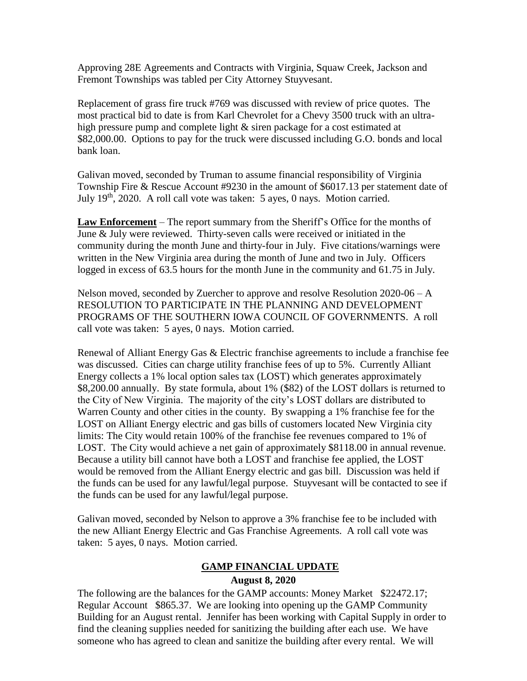Approving 28E Agreements and Contracts with Virginia, Squaw Creek, Jackson and Fremont Townships was tabled per City Attorney Stuyvesant.

Replacement of grass fire truck #769 was discussed with review of price quotes. The most practical bid to date is from Karl Chevrolet for a Chevy 3500 truck with an ultrahigh pressure pump and complete light & siren package for a cost estimated at \$82,000.00. Options to pay for the truck were discussed including G.O. bonds and local bank loan.

Galivan moved, seconded by Truman to assume financial responsibility of Virginia Township Fire & Rescue Account #9230 in the amount of \$6017.13 per statement date of July 19<sup>th</sup>, 2020. A roll call vote was taken: 5 ayes, 0 nays. Motion carried.

**Law Enforcement** – The report summary from the Sheriff's Office for the months of June & July were reviewed. Thirty-seven calls were received or initiated in the community during the month June and thirty-four in July. Five citations/warnings were written in the New Virginia area during the month of June and two in July. Officers logged in excess of 63.5 hours for the month June in the community and 61.75 in July.

Nelson moved, seconded by Zuercher to approve and resolve Resolution 2020-06 – A RESOLUTION TO PARTICIPATE IN THE PLANNING AND DEVELOPMENT PROGRAMS OF THE SOUTHERN IOWA COUNCIL OF GOVERNMENTS. A roll call vote was taken: 5 ayes, 0 nays. Motion carried.

Renewal of Alliant Energy Gas & Electric franchise agreements to include a franchise fee was discussed. Cities can charge utility franchise fees of up to 5%. Currently Alliant Energy collects a 1% local option sales tax (LOST) which generates approximately \$8,200.00 annually. By state formula, about 1% (\$82) of the LOST dollars is returned to the City of New Virginia. The majority of the city's LOST dollars are distributed to Warren County and other cities in the county. By swapping a 1% franchise fee for the LOST on Alliant Energy electric and gas bills of customers located New Virginia city limits: The City would retain 100% of the franchise fee revenues compared to 1% of LOST. The City would achieve a net gain of approximately \$8118.00 in annual revenue. Because a utility bill cannot have both a LOST and franchise fee applied, the LOST would be removed from the Alliant Energy electric and gas bill. Discussion was held if the funds can be used for any lawful/legal purpose. Stuyvesant will be contacted to see if the funds can be used for any lawful/legal purpose.

Galivan moved, seconded by Nelson to approve a 3% franchise fee to be included with the new Alliant Energy Electric and Gas Franchise Agreements. A roll call vote was taken: 5 ayes, 0 nays. Motion carried.

#### **GAMP FINANCIAL UPDATE**

#### **August 8, 2020**

The following are the balances for the GAMP accounts: Money Market \$22472.17; Regular Account \$865.37. We are looking into opening up the GAMP Community Building for an August rental. Jennifer has been working with Capital Supply in order to find the cleaning supplies needed for sanitizing the building after each use. We have someone who has agreed to clean and sanitize the building after every rental. We will